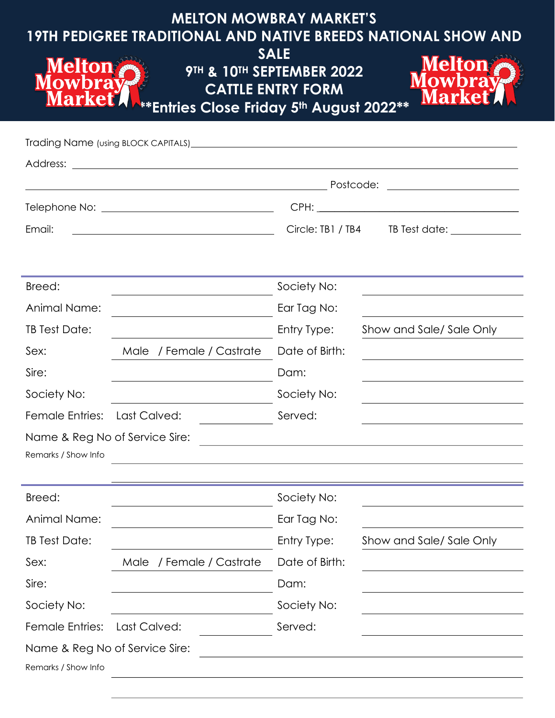| <b>MELTON MOWBRAY MARKET'S</b><br><b>19TH PEDIGREE TRADITIONAL AND NATIVE BREEDS NATIONAL SHOW AND</b><br><b>SALE</b><br><b>Melton</b><br><b>Melton</b><br>9TH & 10TH SEPTEMBER 2022<br><b>Nowbray</b><br><b>Mowbray</b><br><b>CATTLE ENTRY FORM</b><br><b>Market</b><br><b>Market</b><br>**Entries Close Friday 5th August 2022** |                                                                                    |                               |                                               |  |  |
|------------------------------------------------------------------------------------------------------------------------------------------------------------------------------------------------------------------------------------------------------------------------------------------------------------------------------------|------------------------------------------------------------------------------------|-------------------------------|-----------------------------------------------|--|--|
|                                                                                                                                                                                                                                                                                                                                    | Trading Name (using BLOCK CAPITALS) <b>contained a manufacture of the CAPITALS</b> |                               |                                               |  |  |
|                                                                                                                                                                                                                                                                                                                                    |                                                                                    |                               |                                               |  |  |
|                                                                                                                                                                                                                                                                                                                                    |                                                                                    |                               |                                               |  |  |
|                                                                                                                                                                                                                                                                                                                                    |                                                                                    |                               |                                               |  |  |
| Email:                                                                                                                                                                                                                                                                                                                             |                                                                                    |                               | Circle: TB1 / TB4 TB Test date: _____________ |  |  |
| Breed:                                                                                                                                                                                                                                                                                                                             |                                                                                    |                               |                                               |  |  |
| Animal Name:                                                                                                                                                                                                                                                                                                                       |                                                                                    | Society No:                   |                                               |  |  |
| TB Test Date:                                                                                                                                                                                                                                                                                                                      |                                                                                    | Ear Tag No:                   |                                               |  |  |
| Sex:                                                                                                                                                                                                                                                                                                                               |                                                                                    | Entry Type:<br>Date of Birth: | Show and Sale/Sale Only                       |  |  |
| Sire:                                                                                                                                                                                                                                                                                                                              | Male / Female / Castrate                                                           | Dam:                          |                                               |  |  |
| Society No:                                                                                                                                                                                                                                                                                                                        |                                                                                    | Society No:                   |                                               |  |  |
|                                                                                                                                                                                                                                                                                                                                    | Female Entries: Last Calved:                                                       | Served:                       |                                               |  |  |
| Name & Reg No of Service Sire:                                                                                                                                                                                                                                                                                                     |                                                                                    |                               |                                               |  |  |
| Remarks / Show Info                                                                                                                                                                                                                                                                                                                |                                                                                    |                               |                                               |  |  |
|                                                                                                                                                                                                                                                                                                                                    |                                                                                    |                               |                                               |  |  |
| Breed:                                                                                                                                                                                                                                                                                                                             |                                                                                    | Society No:                   |                                               |  |  |
| Animal Name:                                                                                                                                                                                                                                                                                                                       |                                                                                    | Ear Tag No:                   |                                               |  |  |
| TB Test Date:                                                                                                                                                                                                                                                                                                                      |                                                                                    | Entry Type:                   | Show and Sale/Sale Only                       |  |  |
| Sex:                                                                                                                                                                                                                                                                                                                               | Male / Female / Castrate                                                           | Date of Birth:                |                                               |  |  |
| Sire:                                                                                                                                                                                                                                                                                                                              |                                                                                    | Dam:                          |                                               |  |  |
| Society No:                                                                                                                                                                                                                                                                                                                        |                                                                                    | Society No:                   |                                               |  |  |
| <b>Female Entries:</b>                                                                                                                                                                                                                                                                                                             | Last Calved:                                                                       | Served:                       |                                               |  |  |
| Name & Reg No of Service Sire:                                                                                                                                                                                                                                                                                                     |                                                                                    |                               |                                               |  |  |
| Remarks / Show Info                                                                                                                                                                                                                                                                                                                |                                                                                    |                               |                                               |  |  |
|                                                                                                                                                                                                                                                                                                                                    |                                                                                    |                               |                                               |  |  |